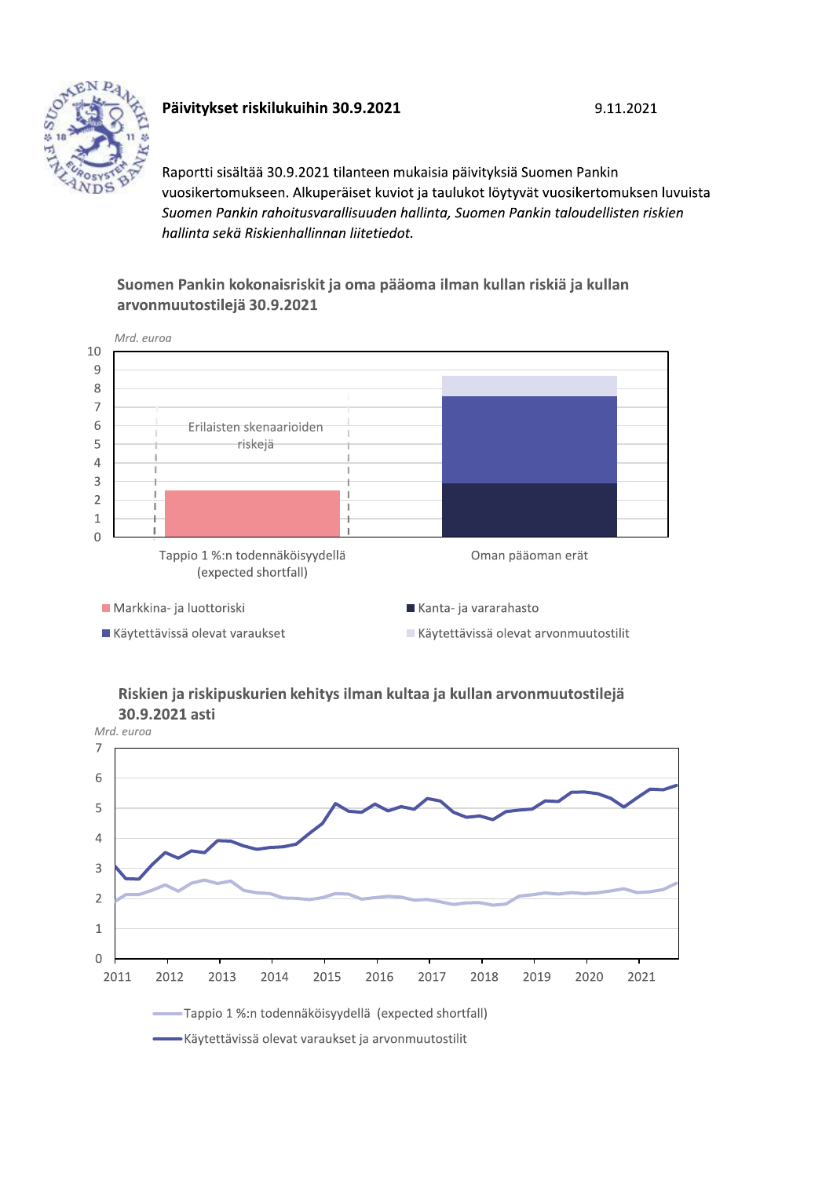

## Päivitykset riskilukuihin 30.9.2021

Raportti sisältää 30.9.2021 tilanteen mukaisia päivityksiä Suomen Pankin vuosikertomukseen. Alkuperäiset kuviot ja taulukot löytyvät vuosikertomuksen luvuista Suomen Pankin rahoitusvarallisuuden hallinta, Suomen Pankin taloudellisten riskien hallinta sekä Riskienhallinnan liitetiedot.

9.11.2021

## Suomen Pankin kokonaisriskit ja oma pääoma ilman kullan riskiä ja kullan arvonmuutostilejä 30.9.2021



### Riskien ja riskipuskurien kehitys ilman kultaa ja kullan arvonmuutostilejä 30.9.2021 asti

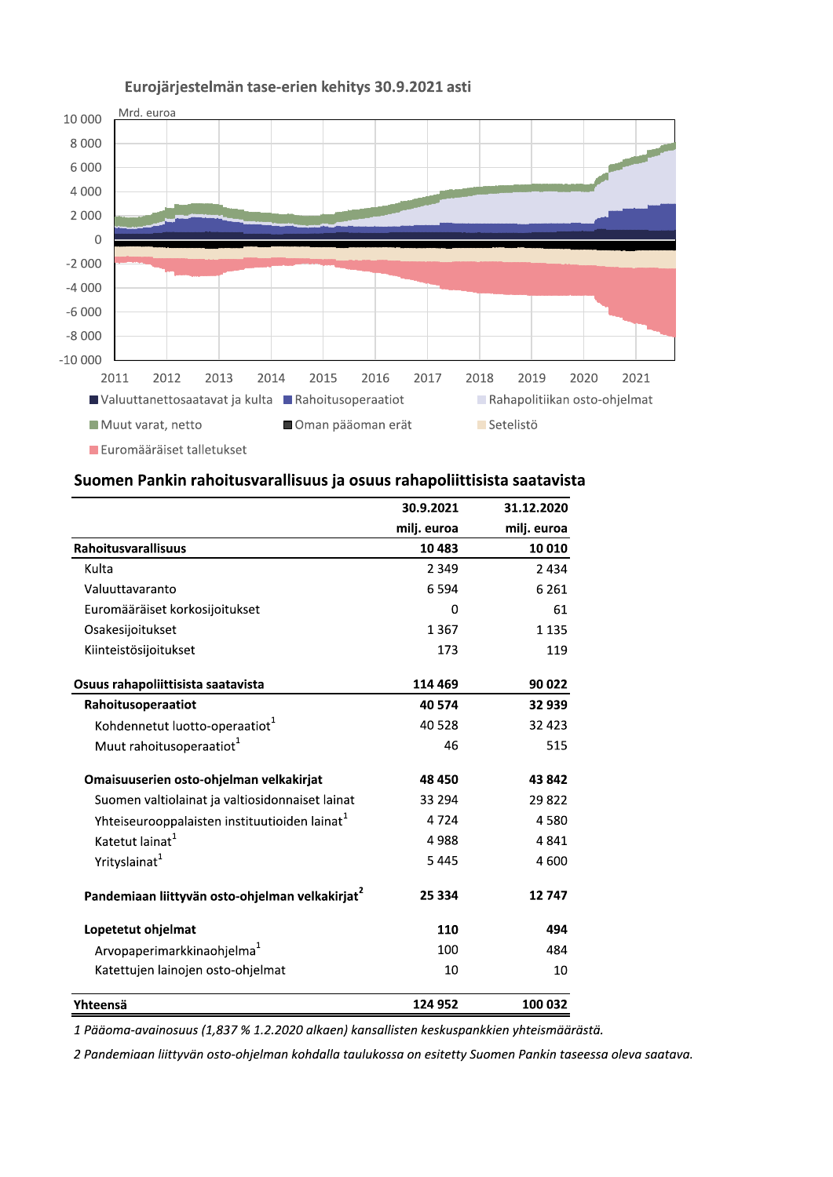

## Eurojärjestelmän tase-erien kehitys 30.9.2021 asti

### Suomen Pankin rahoitusvarallisuus ja osuus rahapoliittisista saatavista

|                                                             | 30.9.2021   | 31.12.2020  |
|-------------------------------------------------------------|-------------|-------------|
|                                                             | milj. euroa | milj. euroa |
| Rahoitusvarallisuus                                         | 10 483      | 10 010      |
| Kulta                                                       | 2 3 4 9     | 2434        |
| Valuuttavaranto                                             | 6594        | 6 2 6 1     |
| Euromääräiset korkosijoitukset                              | 0           | 61          |
| Osakesijoitukset                                            | 1367        | 1 1 3 5     |
| Kiinteistösijoitukset                                       | 173         | 119         |
| Osuus rahapoliittisista saatavista                          | 114 469     | 90 022      |
| Rahoitusoperaatiot                                          | 40 574      | 32 939      |
| Kohdennetut luotto-operaatiot <sup>1</sup>                  | 40 5 28     | 32 4 23     |
| Muut rahoitusoperaatiot <sup>1</sup>                        | 46          | 515         |
| Omaisuuserien osto-ohjelman velkakirjat                     | 48 450      | 43 842      |
| Suomen valtiolainat ja valtiosidonnaiset lainat             | 33 294      | 29822       |
| Yhteiseurooppalaisten instituutioiden lainat <sup>1</sup>   | 4724        | 4580        |
| Katetut lainat <sup>1</sup>                                 | 4988        | 4841        |
| Yrityslainat <sup>1</sup>                                   | 5445        | 4 600       |
| Pandemiaan liittyvän osto-ohjelman velkakirjat <sup>2</sup> | 25 334      | 12747       |
| Lopetetut ohjelmat                                          | 110         | 494         |
| Arvopaperimarkkinaohjelma <sup>1</sup>                      | 100         | 484         |
| Katettujen lainojen osto-ohjelmat                           | 10          | 10          |
| Yhteensä                                                    | 124 952     | 100 032     |

1 Pääoma-avainosuus (1,837 % 1.2.2020 alkaen) kansallisten keskuspankkien yhteismäärästä.

2 Pandemiaan liittyvän osto-ohjelman kohdalla taulukossa on esitetty Suomen Pankin taseessa oleva saatava.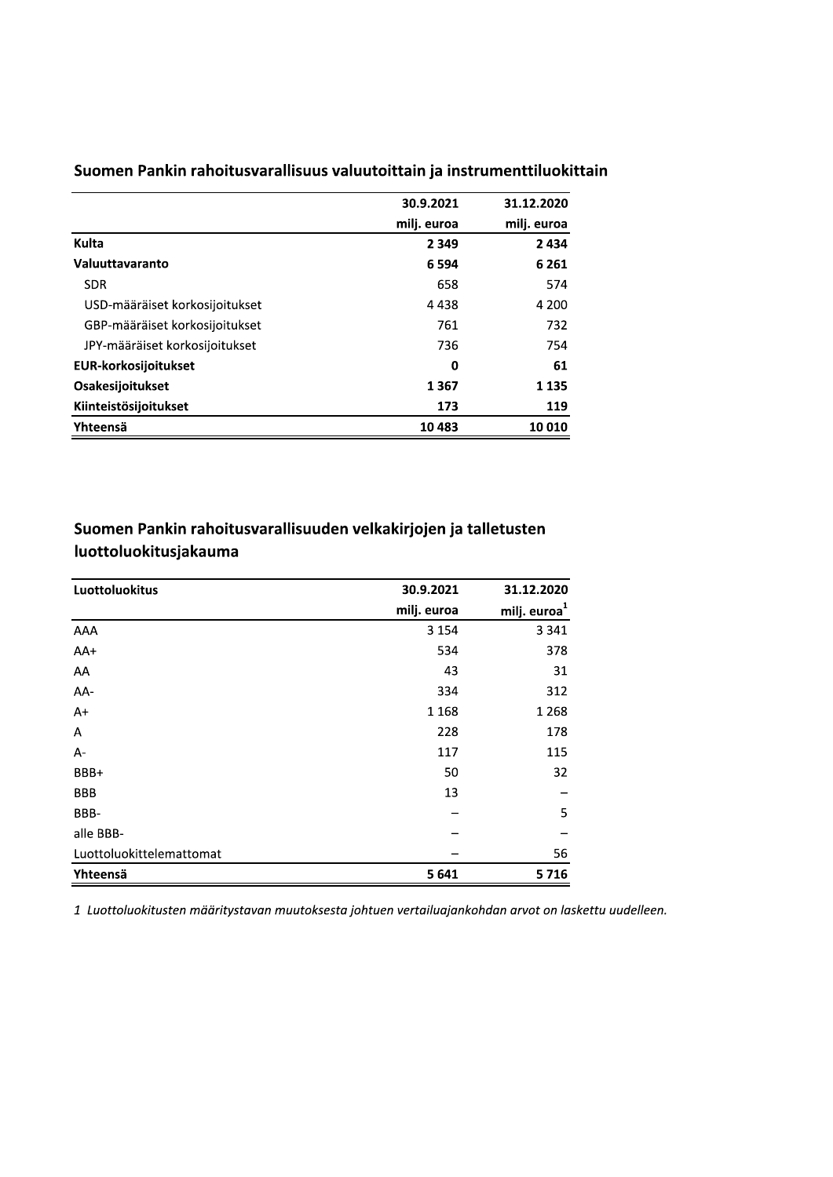|                                | 30.9.2021   | 31.12.2020  |
|--------------------------------|-------------|-------------|
|                                | milj. euroa | milj. euroa |
| Kulta                          | 2 3 4 9     | 2 4 3 4     |
| Valuuttavaranto                | 6 5 9 4     | 6 2 6 1     |
| <b>SDR</b>                     | 658         | 574         |
| USD-määräiset korkosijoitukset | 4 4 3 8     | 4 200       |
| GBP-määräiset korkosijoitukset | 761         | 732         |
| JPY-määräiset korkosijoitukset | 736         | 754         |
| <b>EUR-korkosijoitukset</b>    | 0           | 61          |
| <b>Osakesijoitukset</b>        | 1367        | 1 1 3 5     |
| Kiinteistösijoitukset          | 173         | 119         |
| Yhteensä                       | 10483       | 10 010      |

Suomen Pankin rahoitusvarallisuus valuutoittain ja instrumenttiluokittain

# Suomen Pankin rahoitusvarallisuuden velkakirjojen ja talletusten luottoluokitusjakauma

| Luottoluokitus           | 30.9.2021   | 31.12.2020               |
|--------------------------|-------------|--------------------------|
|                          | milj. euroa | milj. euroa <sup>1</sup> |
| AAA                      | 3 1 5 4     | 3 3 4 1                  |
| $AA+$                    | 534         | 378                      |
| AA                       | 43          | 31                       |
| AA-                      | 334         | 312                      |
| $A+$                     | 1 1 6 8     | 1 2 6 8                  |
| А                        | 228         | 178                      |
| А-                       | 117         | 115                      |
| BBB+                     | 50          | 32                       |
| <b>BBB</b>               | 13          |                          |
| BBB-                     |             | 5                        |
| alle BBB-                |             |                          |
| Luottoluokittelemattomat |             | 56                       |
| Yhteensä                 | 5 6 4 1     | 5716                     |

1 Luottoluokitusten määritystavan muutoksesta johtuen vertailuajankohdan arvot on laskettu uudelleen.